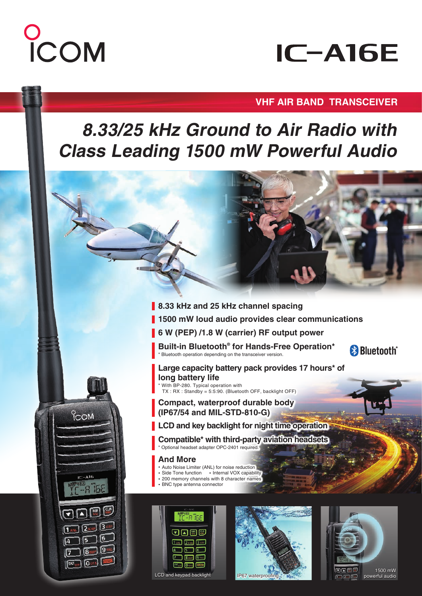# COM

## **IC-A16E**

#### **VHF AIR BAND TRANSCEIVER**

### **8.33/25 kHz Ground to Air Radio with Class Leading 1500 mW Powerful Audio**

- **1500 mW loud audio provides clear communications 8.33 kHz and 25 kHz channel spacing**
- **6 W (PEP) /1.8 W (carrier) RF output power**

**Built-in Bluetooth® for Hands-Free Operation\*** \* Bluetooth operation depending on the transceiver version.



**Large capacity battery pack provides 17 hours\* of long battery life** \* With BP-280. Typical operation with TX : RX : Standby = 5:5:90. (Bluetooth OFF, backlight OFF)

- **Compact, waterproof durable body (IP67/54 and MIL-STD-810-G)**
- **LCD and key backlight for night time operation**

**Compatible\* with third-party aviation headsets**  \* Optional headset adapter OPC-2401 required.

#### **And More**

- **・** Auto Noise Limiter (ANL) for noise reduction
- **・** Side Tone function **・** Internal VOX capability
- **・** 200 memory channels with 8 character names **・** BNC type antenna connector
-